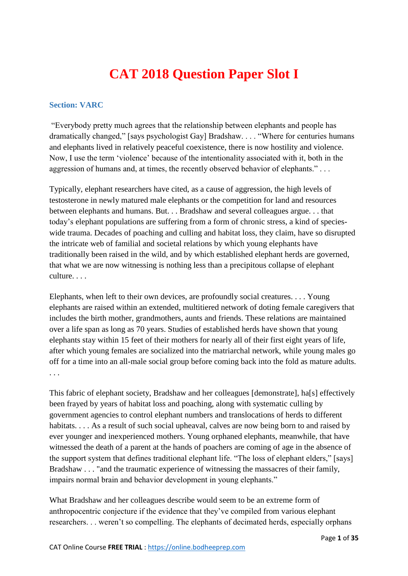# **CAT 2018 Question Paper Slot I**

#### **Section: VARC**

"Everybody pretty much agrees that the relationship between elephants and people has dramatically changed," [says psychologist Gay] Bradshaw. . . . "Where for centuries humans and elephants lived in relatively peaceful coexistence, there is now hostility and violence. Now, I use the term 'violence' because of the intentionality associated with it, both in the aggression of humans and, at times, the recently observed behavior of elephants."...

Typically, elephant researchers have cited, as a cause of aggression, the high levels of testosterone in newly matured male elephants or the competition for land and resources between elephants and humans. But. . . Bradshaw and several colleagues argue. . . that today's elephant populations are suffering from a form of chronic stress, a kind of specieswide trauma. Decades of poaching and culling and habitat loss, they claim, have so disrupted the intricate web of familial and societal relations by which young elephants have traditionally been raised in the wild, and by which established elephant herds are governed, that what we are now witnessing is nothing less than a precipitous collapse of elephant culture. . . .

Elephants, when left to their own devices, are profoundly social creatures. . . . Young elephants are raised within an extended, multitiered network of doting female caregivers that includes the birth mother, grandmothers, aunts and friends. These relations are maintained over a life span as long as 70 years. Studies of established herds have shown that young elephants stay within 15 feet of their mothers for nearly all of their first eight years of life, after which young females are socialized into the matriarchal network, while young males go off for a time into an all-male social group before coming back into the fold as mature adults. . . .

This fabric of elephant society, Bradshaw and her colleagues [demonstrate], ha[s] effectively been frayed by years of habitat loss and poaching, along with systematic culling by government agencies to control elephant numbers and translocations of herds to different habitats. . . . As a result of such social upheaval, calves are now being born to and raised by ever younger and inexperienced mothers. Young orphaned elephants, meanwhile, that have witnessed the death of a parent at the hands of poachers are coming of age in the absence of the support system that defines traditional elephant life. "The loss of elephant elders," [says] Bradshaw . . . "and the traumatic experience of witnessing the massacres of their family, impairs normal brain and behavior development in young elephants."

What Bradshaw and her colleagues describe would seem to be an extreme form of anthropocentric conjecture if the evidence that they've compiled from various elephant researchers. . . weren't so compelling. The elephants of decimated herds, especially orphans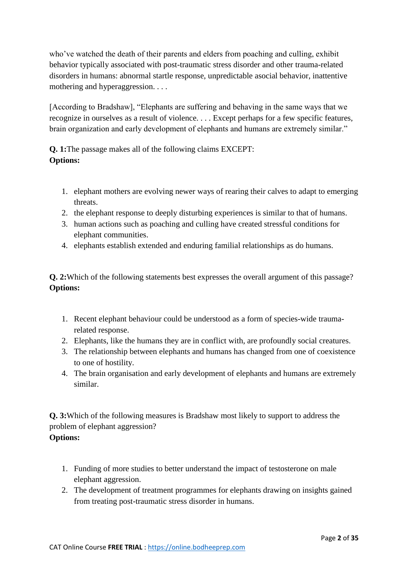who've watched the death of their parents and elders from poaching and culling, exhibit behavior typically associated with post-traumatic stress disorder and other trauma-related disorders in humans: abnormal startle response, unpredictable asocial behavior, inattentive mothering and hyperaggression. . . .

[According to Bradshaw], "Elephants are suffering and behaving in the same ways that we recognize in ourselves as a result of violence. . . . Except perhaps for a few specific features, brain organization and early development of elephants and humans are extremely similar."

**Q. 1:**The passage makes all of the following claims EXCEPT: **Options:**

- 1. elephant mothers are evolving newer ways of rearing their calves to adapt to emerging threats.
- 2. the elephant response to deeply disturbing experiences is similar to that of humans.
- 3. human actions such as poaching and culling have created stressful conditions for elephant communities.
- 4. elephants establish extended and enduring familial relationships as do humans.

**Q. 2:**Which of the following statements best expresses the overall argument of this passage? **Options:**

- 1. Recent elephant behaviour could be understood as a form of species-wide traumarelated response.
- 2. Elephants, like the humans they are in conflict with, are profoundly social creatures.
- 3. The relationship between elephants and humans has changed from one of coexistence to one of hostility.
- 4. The brain organisation and early development of elephants and humans are extremely similar.

**Q. 3:**Which of the following measures is Bradshaw most likely to support to address the problem of elephant aggression? **Options:**

- 1. Funding of more studies to better understand the impact of testosterone on male elephant aggression.
- 2. The development of treatment programmes for elephants drawing on insights gained from treating post-traumatic stress disorder in humans.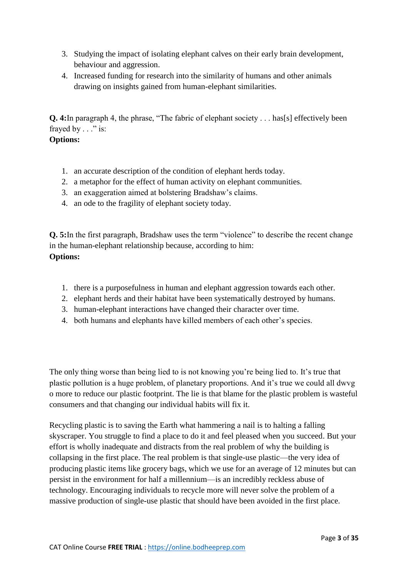- 3. Studying the impact of isolating elephant calves on their early brain development, behaviour and aggression.
- 4. Increased funding for research into the similarity of humans and other animals drawing on insights gained from human-elephant similarities.

**Q. 4:**In paragraph 4, the phrase, "The fabric of elephant society . . . has[s] effectively been frayed by . . ." is:

## **Options:**

- 1. an accurate description of the condition of elephant herds today.
- 2. a metaphor for the effect of human activity on elephant communities.
- 3. an exaggeration aimed at bolstering Bradshaw's claims.
- 4. an ode to the fragility of elephant society today.

**Q. 5:**In the first paragraph, Bradshaw uses the term "violence" to describe the recent change in the human-elephant relationship because, according to him: **Options:**

- 1. there is a purposefulness in human and elephant aggression towards each other.
- 2. elephant herds and their habitat have been systematically destroyed by humans.
- 3. human-elephant interactions have changed their character over time.
- 4. both humans and elephants have killed members of each other's species.

The only thing worse than being lied to is not knowing you're being lied to. It's true that plastic pollution is a huge problem, of planetary proportions. And it's true we could all dwvg o more to reduce our plastic footprint. The lie is that blame for the plastic problem is wasteful consumers and that changing our individual habits will fix it.

Recycling plastic is to saving the Earth what hammering a nail is to halting a falling skyscraper. You struggle to find a place to do it and feel pleased when you succeed. But your effort is wholly inadequate and distracts from the real problem of why the building is collapsing in the first place. The real problem is that single-use plastic—the very idea of producing plastic items like grocery bags, which we use for an average of 12 minutes but can persist in the environment for half a millennium—is an incredibly reckless abuse of technology. Encouraging individuals to recycle more will never solve the problem of a massive production of single-use plastic that should have been avoided in the first place.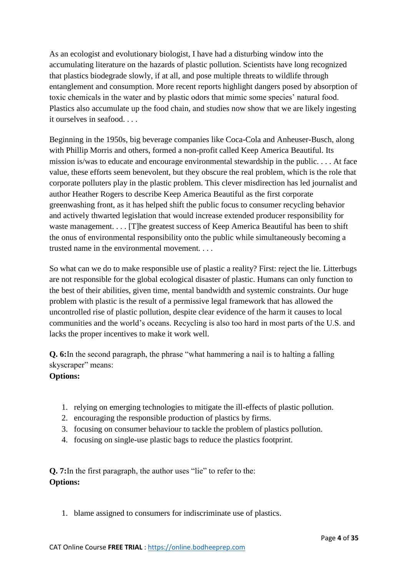As an ecologist and evolutionary biologist, I have had a disturbing window into the accumulating literature on the hazards of plastic pollution. Scientists have long recognized that plastics biodegrade slowly, if at all, and pose multiple threats to wildlife through entanglement and consumption. More recent reports highlight dangers posed by absorption of toxic chemicals in the water and by plastic odors that mimic some species' natural food. Plastics also accumulate up the food chain, and studies now show that we are likely ingesting it ourselves in seafood. . . .

Beginning in the 1950s, big beverage companies like Coca-Cola and Anheuser-Busch, along with Phillip Morris and others, formed a non-profit called Keep America Beautiful. Its mission is/was to educate and encourage environmental stewardship in the public. . . . At face value, these efforts seem benevolent, but they obscure the real problem, which is the role that corporate polluters play in the plastic problem. This clever misdirection has led journalist and author Heather Rogers to describe Keep America Beautiful as the first corporate greenwashing front, as it has helped shift the public focus to consumer recycling behavior and actively thwarted legislation that would increase extended producer responsibility for waste management. . . . [T]he greatest success of Keep America Beautiful has been to shift the onus of environmental responsibility onto the public while simultaneously becoming a trusted name in the environmental movement. . . .

So what can we do to make responsible use of plastic a reality? First: reject the lie. Litterbugs are not responsible for the global ecological disaster of plastic. Humans can only function to the best of their abilities, given time, mental bandwidth and systemic constraints. Our huge problem with plastic is the result of a permissive legal framework that has allowed the uncontrolled rise of plastic pollution, despite clear evidence of the harm it causes to local communities and the world's oceans. Recycling is also too hard in most parts of the U.S. and lacks the proper incentives to make it work well.

**Q. 6:**In the second paragraph, the phrase "what hammering a nail is to halting a falling skyscraper" means:

#### **Options:**

- 1. relying on emerging technologies to mitigate the ill-effects of plastic pollution.
- 2. encouraging the responsible production of plastics by firms.
- 3. focusing on consumer behaviour to tackle the problem of plastics pollution.
- 4. focusing on single-use plastic bags to reduce the plastics footprint.

**Q. 7:**In the first paragraph, the author uses "lie" to refer to the: **Options:**

1. blame assigned to consumers for indiscriminate use of plastics.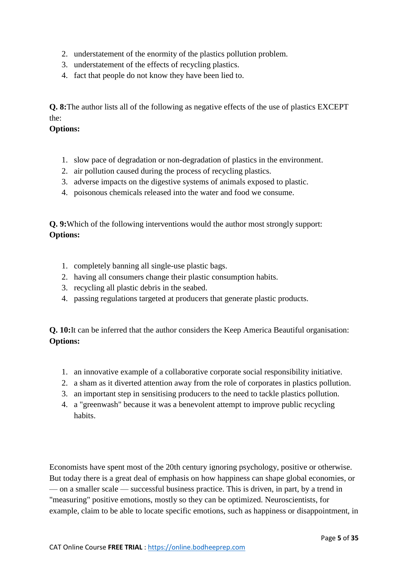- 2. understatement of the enormity of the plastics pollution problem.
- 3. understatement of the effects of recycling plastics.
- 4. fact that people do not know they have been lied to.

**Q. 8:**The author lists all of the following as negative effects of the use of plastics EXCEPT the:

#### **Options:**

- 1. slow pace of degradation or non-degradation of plastics in the environment.
- 2. air pollution caused during the process of recycling plastics.
- 3. adverse impacts on the digestive systems of animals exposed to plastic.
- 4. poisonous chemicals released into the water and food we consume.

**Q. 9:**Which of the following interventions would the author most strongly support: **Options:**

- 1. completely banning all single-use plastic bags.
- 2. having all consumers change their plastic consumption habits.
- 3. recycling all plastic debris in the seabed.
- 4. passing regulations targeted at producers that generate plastic products.

**Q. 10:**It can be inferred that the author considers the Keep America Beautiful organisation: **Options:**

- 1. an innovative example of a collaborative corporate social responsibility initiative.
- 2. a sham as it diverted attention away from the role of corporates in plastics pollution.
- 3. an important step in sensitising producers to the need to tackle plastics pollution.
- 4. a "greenwash" because it was a benevolent attempt to improve public recycling habits.

Economists have spent most of the 20th century ignoring psychology, positive or otherwise. But today there is a great deal of emphasis on how happiness can shape global economies, or — on a smaller scale — successful business practice. This is driven, in part, by a trend in "measuring" positive emotions, mostly so they can be optimized. Neuroscientists, for example, claim to be able to locate specific emotions, such as happiness or disappointment, in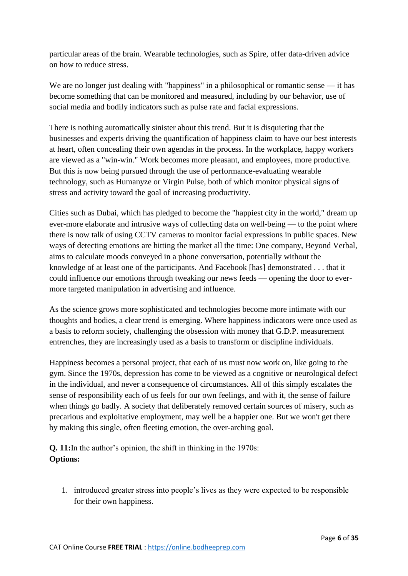particular areas of the brain. Wearable technologies, such as Spire, offer data-driven advice on how to reduce stress.

We are no longer just dealing with "happiness" in a philosophical or romantic sense — it has become something that can be monitored and measured, including by our behavior, use of social media and bodily indicators such as pulse rate and facial expressions.

There is nothing automatically sinister about this trend. But it is disquieting that the businesses and experts driving the quantification of happiness claim to have our best interests at heart, often concealing their own agendas in the process. In the workplace, happy workers are viewed as a "win-win." Work becomes more pleasant, and employees, more productive. But this is now being pursued through the use of performance-evaluating wearable technology, such as Humanyze or Virgin Pulse, both of which monitor physical signs of stress and activity toward the goal of increasing productivity.

Cities such as Dubai, which has pledged to become the "happiest city in the world," dream up ever-more elaborate and intrusive ways of collecting data on well-being — to the point where there is now talk of using CCTV cameras to monitor facial expressions in public spaces. New ways of detecting emotions are hitting the market all the time: One company, Beyond Verbal, aims to calculate moods conveyed in a phone conversation, potentially without the knowledge of at least one of the participants. And Facebook [has] demonstrated . . . that it could influence our emotions through tweaking our news feeds — opening the door to evermore targeted manipulation in advertising and influence.

As the science grows more sophisticated and technologies become more intimate with our thoughts and bodies, a clear trend is emerging. Where happiness indicators were once used as a basis to reform society, challenging the obsession with money that G.D.P. measurement entrenches, they are increasingly used as a basis to transform or discipline individuals.

Happiness becomes a personal project, that each of us must now work on, like going to the gym. Since the 1970s, depression has come to be viewed as a cognitive or neurological defect in the individual, and never a consequence of circumstances. All of this simply escalates the sense of responsibility each of us feels for our own feelings, and with it, the sense of failure when things go badly. A society that deliberately removed certain sources of misery, such as precarious and exploitative employment, may well be a happier one. But we won't get there by making this single, often fleeting emotion, the over-arching goal.

**Q. 11:**In the author's opinion, the shift in thinking in the 1970s: **Options:**

1. introduced greater stress into people's lives as they were expected to be responsible for their own happiness.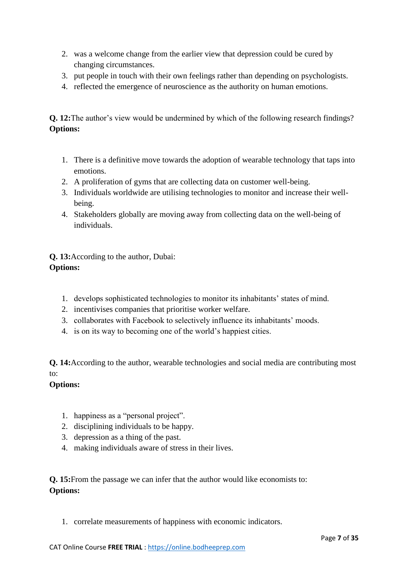- 2. was a welcome change from the earlier view that depression could be cured by changing circumstances.
- 3. put people in touch with their own feelings rather than depending on psychologists.
- 4. reflected the emergence of neuroscience as the authority on human emotions.

**Q. 12:**The author's view would be undermined by which of the following research findings? **Options:**

- 1. There is a definitive move towards the adoption of wearable technology that taps into emotions.
- 2. A proliferation of gyms that are collecting data on customer well-being.
- 3. Individuals worldwide are utilising technologies to monitor and increase their wellbeing.
- 4. Stakeholders globally are moving away from collecting data on the well-being of individuals.

**Q. 13:**According to the author, Dubai: **Options:**

- 1. develops sophisticated technologies to monitor its inhabitants' states of mind.
- 2. incentivises companies that prioritise worker welfare.
- 3. collaborates with Facebook to selectively influence its inhabitants' moods.
- 4. is on its way to becoming one of the world's happiest cities.

**Q. 14:**According to the author, wearable technologies and social media are contributing most to:

#### **Options:**

- 1. happiness as a "personal project".
- 2. disciplining individuals to be happy.
- 3. depression as a thing of the past.
- 4. making individuals aware of stress in their lives.

**Q. 15:**From the passage we can infer that the author would like economists to: **Options:**

1. correlate measurements of happiness with economic indicators.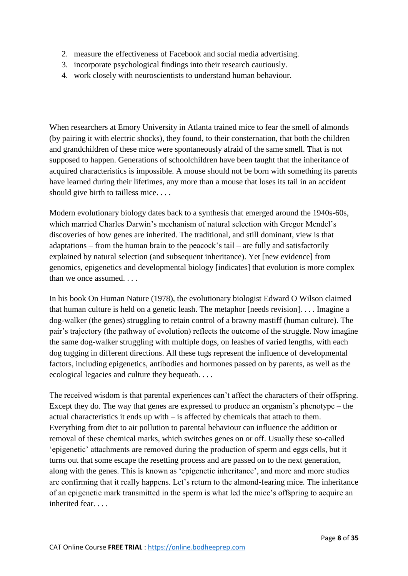- 2. measure the effectiveness of Facebook and social media advertising.
- 3. incorporate psychological findings into their research cautiously.
- 4. work closely with neuroscientists to understand human behaviour.

When researchers at Emory University in Atlanta trained mice to fear the smell of almonds (by pairing it with electric shocks), they found, to their consternation, that both the children and grandchildren of these mice were spontaneously afraid of the same smell. That is not supposed to happen. Generations of schoolchildren have been taught that the inheritance of acquired characteristics is impossible. A mouse should not be born with something its parents have learned during their lifetimes, any more than a mouse that loses its tail in an accident should give birth to tailless mice. . . .

Modern evolutionary biology dates back to a synthesis that emerged around the 1940s-60s, which married Charles Darwin's mechanism of natural selection with Gregor Mendel's discoveries of how genes are inherited. The traditional, and still dominant, view is that adaptations – from the human brain to the peacock's tail – are fully and satisfactorily explained by natural selection (and subsequent inheritance). Yet [new evidence] from genomics, epigenetics and developmental biology [indicates] that evolution is more complex than we once assumed. . . .

In his book On Human Nature (1978), the evolutionary biologist Edward O Wilson claimed that human culture is held on a genetic leash. The metaphor [needs revision]. . . . Imagine a dog-walker (the genes) struggling to retain control of a brawny mastiff (human culture). The pair's trajectory (the pathway of evolution) reflects the outcome of the struggle. Now imagine the same dog-walker struggling with multiple dogs, on leashes of varied lengths, with each dog tugging in different directions. All these tugs represent the influence of developmental factors, including epigenetics, antibodies and hormones passed on by parents, as well as the ecological legacies and culture they bequeath. . . .

The received wisdom is that parental experiences can't affect the characters of their offspring. Except they do. The way that genes are expressed to produce an organism's phenotype – the actual characteristics it ends up with – is affected by chemicals that attach to them. Everything from diet to air pollution to parental behaviour can influence the addition or removal of these chemical marks, which switches genes on or off. Usually these so-called 'epigenetic' attachments are removed during the production of sperm and eggs cells, but it turns out that some escape the resetting process and are passed on to the next generation, along with the genes. This is known as 'epigenetic inheritance', and more and more studies are confirming that it really happens. Let's return to the almond-fearing mice. The inheritance of an epigenetic mark transmitted in the sperm is what led the mice's offspring to acquire an inherited fear.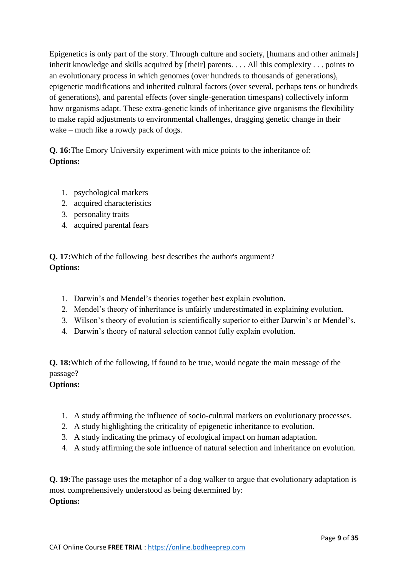Epigenetics is only part of the story. Through culture and society, [humans and other animals] inherit knowledge and skills acquired by [their] parents. . . . All this complexity . . . points to an evolutionary process in which genomes (over hundreds to thousands of generations), epigenetic modifications and inherited cultural factors (over several, perhaps tens or hundreds of generations), and parental effects (over single-generation timespans) collectively inform how organisms adapt. These extra-genetic kinds of inheritance give organisms the flexibility to make rapid adjustments to environmental challenges, dragging genetic change in their wake – much like a rowdy pack of dogs.

**Q. 16:**The Emory University experiment with mice points to the inheritance of: **Options:**

- 1. psychological markers
- 2. acquired characteristics
- 3. personality traits
- 4. acquired parental fears

**Q. 17:**Which of the following best describes the author's argument? **Options:**

- 1. Darwin's and Mendel's theories together best explain evolution.
- 2. Mendel's theory of inheritance is unfairly underestimated in explaining evolution.
- 3. Wilson's theory of evolution is scientifically superior to either Darwin's or Mendel's.
- 4. Darwin's theory of natural selection cannot fully explain evolution.

**Q. 18:**Which of the following, if found to be true, would negate the main message of the passage?

# **Options:**

- 1. A study affirming the influence of socio-cultural markers on evolutionary processes.
- 2. A study highlighting the criticality of epigenetic inheritance to evolution.
- 3. A study indicating the primacy of ecological impact on human adaptation.
- 4. A study affirming the sole influence of natural selection and inheritance on evolution.

**Q. 19:**The passage uses the metaphor of a dog walker to argue that evolutionary adaptation is most comprehensively understood as being determined by: **Options:**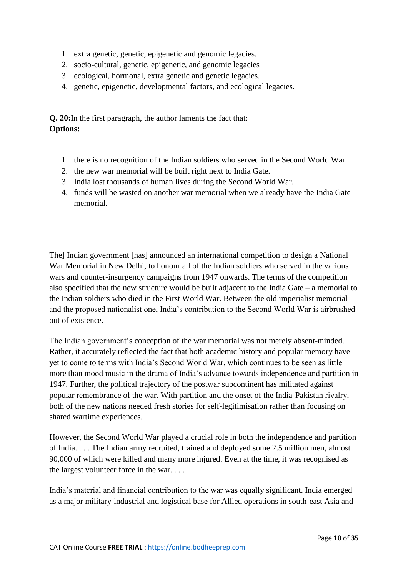- 1. extra genetic, genetic, epigenetic and genomic legacies.
- 2. socio-cultural, genetic, epigenetic, and genomic legacies
- 3. ecological, hormonal, extra genetic and genetic legacies.
- 4. genetic, epigenetic, developmental factors, and ecological legacies.

**Q. 20:**In the first paragraph, the author laments the fact that: **Options:**

- 1. there is no recognition of the Indian soldiers who served in the Second World War.
- 2. the new war memorial will be built right next to India Gate.
- 3. India lost thousands of human lives during the Second World War.
- 4. funds will be wasted on another war memorial when we already have the India Gate memorial.

The] Indian government [has] announced an international competition to design a National War Memorial in New Delhi, to honour all of the Indian soldiers who served in the various wars and counter-insurgency campaigns from 1947 onwards. The terms of the competition also specified that the new structure would be built adjacent to the India Gate – a memorial to the Indian soldiers who died in the First World War. Between the old imperialist memorial and the proposed nationalist one, India's contribution to the Second World War is airbrushed out of existence.

The Indian government's conception of the war memorial was not merely absent-minded. Rather, it accurately reflected the fact that both academic history and popular memory have yet to come to terms with India's Second World War, which continues to be seen as little more than mood music in the drama of India's advance towards independence and partition in 1947. Further, the political trajectory of the postwar subcontinent has militated against popular remembrance of the war. With partition and the onset of the India-Pakistan rivalry, both of the new nations needed fresh stories for self-legitimisation rather than focusing on shared wartime experiences.

However, the Second World War played a crucial role in both the independence and partition of India. . . . The Indian army recruited, trained and deployed some 2.5 million men, almost 90,000 of which were killed and many more injured. Even at the time, it was recognised as the largest volunteer force in the war. . . .

India's material and financial contribution to the war was equally significant. India emerged as a major military-industrial and logistical base for Allied operations in south-east Asia and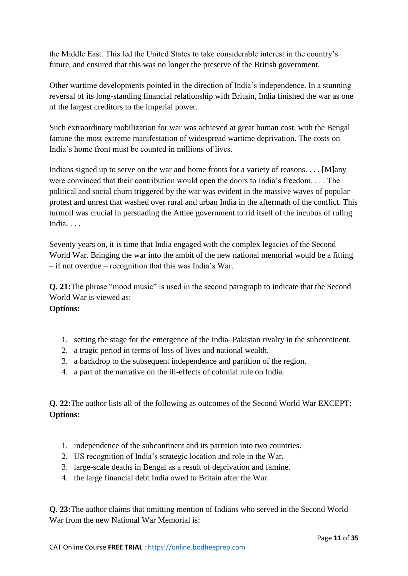the Middle East. This led the United States to take considerable interest in the country's future, and ensured that this was no longer the preserve of the British government.

Other wartime developments pointed in the direction of India's independence. In a stunning reversal of its long-standing financial relationship with Britain, India finished the war as one of the largest creditors to the imperial power.

Such extraordinary mobilization for war was achieved at great human cost, with the Bengal famine the most extreme manifestation of widespread wartime deprivation. The costs on India's home front must be counted in millions of lives.

Indians signed up to serve on the war and home fronts for a variety of reasons. . . . [M]any were convinced that their contribution would open the doors to India's freedom. . . . The political and social churn triggered by the war was evident in the massive waves of popular protest and unrest that washed over rural and urban India in the aftermath of the conflict. This turmoil was crucial in persuading the Attlee government to rid itself of the incubus of ruling India. . . .

Seventy years on, it is time that India engaged with the complex legacies of the Second World War. Bringing the war into the ambit of the new national memorial would be a fitting – if not overdue – recognition that this was India's War.

**Q. 21:**The phrase "mood music" is used in the second paragraph to indicate that the Second World War is viewed as:

#### **Options:**

- 1. setting the stage for the emergence of the India–Pakistan rivalry in the subcontinent.
- 2. a tragic period in terms of loss of lives and national wealth.
- 3. a backdrop to the subsequent independence and partition of the region.
- 4. a part of the narrative on the ill-effects of colonial rule on India.

**Q. 22:**The author lists all of the following as outcomes of the Second World War EXCEPT: **Options:**

- 1. independence of the subcontinent and its partition into two countries.
- 2. US recognition of India's strategic location and role in the War.
- 3. large-scale deaths in Bengal as a result of deprivation and famine.
- 4. the large financial debt India owed to Britain after the War.

**Q. 23:**The author claims that omitting mention of Indians who served in the Second World War from the new National War Memorial is: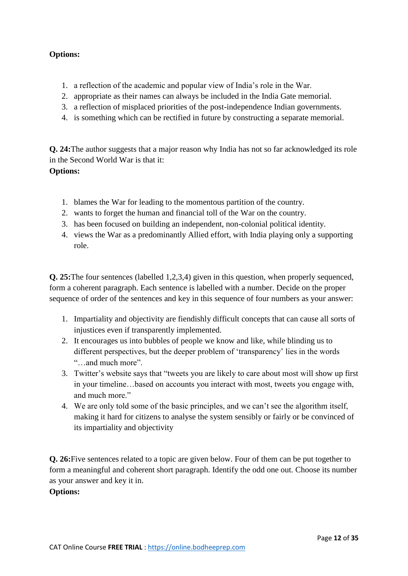## **Options:**

- 1. a reflection of the academic and popular view of India's role in the War.
- 2. appropriate as their names can always be included in the India Gate memorial.
- 3. a reflection of misplaced priorities of the post-independence Indian governments.
- 4. is something which can be rectified in future by constructing a separate memorial.

**Q. 24:**The author suggests that a major reason why India has not so far acknowledged its role in the Second World War is that it: **Options:**

- 1. blames the War for leading to the momentous partition of the country.
- 2. wants to forget the human and financial toll of the War on the country.
- 3. has been focused on building an independent, non-colonial political identity.
- 4. views the War as a predominantly Allied effort, with India playing only a supporting role.

**Q. 25:**The four sentences (labelled 1,2,3,4) given in this question, when properly sequenced, form a coherent paragraph. Each sentence is labelled with a number. Decide on the proper sequence of order of the sentences and key in this sequence of four numbers as your answer:

- 1. Impartiality and objectivity are fiendishly difficult concepts that can cause all sorts of injustices even if transparently implemented.
- 2. It encourages us into bubbles of people we know and like, while blinding us to different perspectives, but the deeper problem of 'transparency' lies in the words "…and much more".
- 3. Twitter's website says that "tweets you are likely to care about most will show up first in your timeline…based on accounts you interact with most, tweets you engage with, and much more."
- 4. We are only told some of the basic principles, and we can't see the algorithm itself, making it hard for citizens to analyse the system sensibly or fairly or be convinced of its impartiality and objectivity

**Q. 26:**Five sentences related to a topic are given below. Four of them can be put together to form a meaningful and coherent short paragraph. Identify the odd one out. Choose its number as your answer and key it in.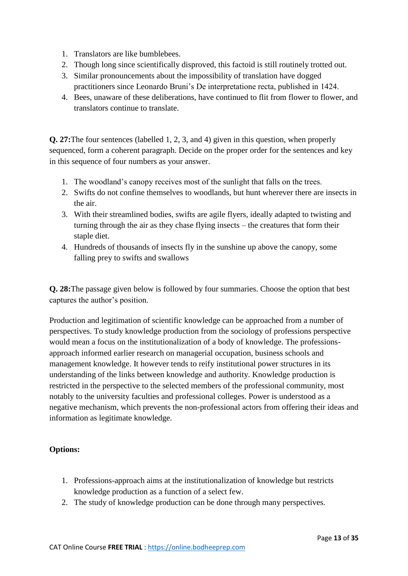- 1. Translators are like bumblebees.
- 2. Though long since scientifically disproved, this factoid is still routinely trotted out.
- 3. Similar pronouncements about the impossibility of translation have dogged practitioners since Leonardo Bruni's De interpretatione recta, published in 1424.
- 4. Bees, unaware of these deliberations, have continued to flit from flower to flower, and translators continue to translate.

**Q. 27:**The four sentences (labelled 1, 2, 3, and 4) given in this question, when properly sequenced, form a coherent paragraph. Decide on the proper order for the sentences and key in this sequence of four numbers as your answer.

- 1. The woodland's canopy receives most of the sunlight that falls on the trees.
- 2. Swifts do not confine themselves to woodlands, but hunt wherever there are insects in the air.
- 3. With their streamlined bodies, swifts are agile flyers, ideally adapted to twisting and turning through the air as they chase flying insects – the creatures that form their staple diet.
- 4. Hundreds of thousands of insects fly in the sunshine up above the canopy, some falling prey to swifts and swallows

**Q. 28:**The passage given below is followed by four summaries. Choose the option that best captures the author's position.

Production and legitimation of scientific knowledge can be approached from a number of perspectives. To study knowledge production from the sociology of professions perspective would mean a focus on the institutionalization of a body of knowledge. The professionsapproach informed earlier research on managerial occupation, business schools and management knowledge. It however tends to reify institutional power structures in its understanding of the links between knowledge and authority. Knowledge production is restricted in the perspective to the selected members of the professional community, most notably to the university faculties and professional colleges. Power is understood as a negative mechanism, which prevents the non-professional actors from offering their ideas and information as legitimate knowledge.

- 1. Professions-approach aims at the institutionalization of knowledge but restricts knowledge production as a function of a select few.
- 2. The study of knowledge production can be done through many perspectives.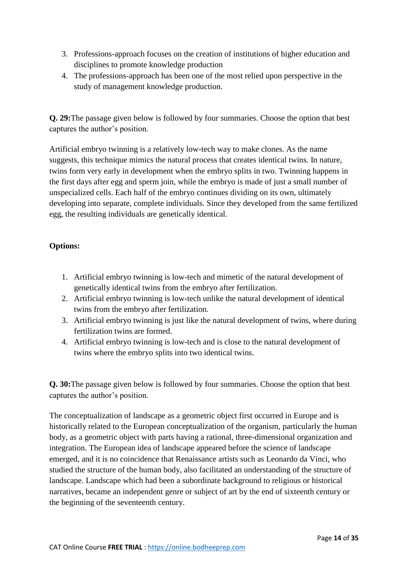- 3. Professions-approach focuses on the creation of institutions of higher education and disciplines to promote knowledge production
- 4. The professions-approach has been one of the most relied upon perspective in the study of management knowledge production.

**Q. 29:**The passage given below is followed by four summaries. Choose the option that best captures the author's position.

Artificial embryo twinning is a relatively low-tech way to make clones. As the name suggests, this technique mimics the natural process that creates identical twins. In nature, twins form very early in development when the embryo splits in two. Twinning happens in the first days after egg and sperm join, while the embryo is made of just a small number of unspecialized cells. Each half of the embryo continues dividing on its own, ultimately developing into separate, complete individuals. Since they developed from the same fertilized egg, the resulting individuals are genetically identical.

## **Options:**

- 1. Artificial embryo twinning is low-tech and mimetic of the natural development of genetically identical twins from the embryo after fertilization.
- 2. Artificial embryo twinning is low-tech unlike the natural development of identical twins from the embryo after fertilization.
- 3. Artificial embryo twinning is just like the natural development of twins, where during fertilization twins are formed.
- 4. Artificial embryo twinning is low-tech and is close to the natural development of twins where the embryo splits into two identical twins.

**Q. 30:**The passage given below is followed by four summaries. Choose the option that best captures the author's position.

The conceptualization of landscape as a geometric object first occurred in Europe and is historically related to the European conceptualization of the organism, particularly the human body, as a geometric object with parts having a rational, three-dimensional organization and integration. The European idea of landscape appeared before the science of landscape emerged, and it is no coincidence that Renaissance artists such as Leonardo da Vinci, who studied the structure of the human body, also facilitated an understanding of the structure of landscape. Landscape which had been a subordinate background to religious or historical narratives, became an independent genre or subject of art by the end of sixteenth century or the beginning of the seventeenth century.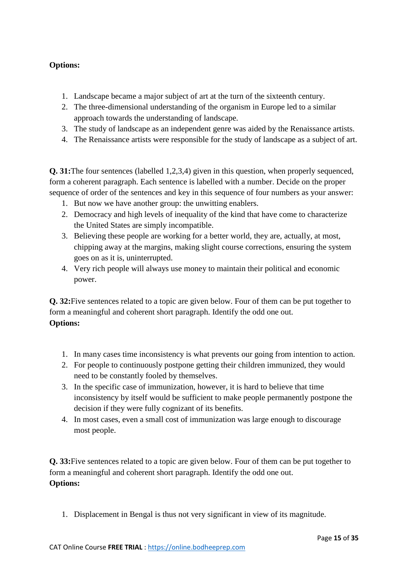## **Options:**

- 1. Landscape became a major subject of art at the turn of the sixteenth century.
- 2. The three-dimensional understanding of the organism in Europe led to a similar approach towards the understanding of landscape.
- 3. The study of landscape as an independent genre was aided by the Renaissance artists.
- 4. The Renaissance artists were responsible for the study of landscape as a subject of art.

**Q. 31:**The four sentences (labelled 1,2,3,4) given in this question, when properly sequenced, form a coherent paragraph. Each sentence is labelled with a number. Decide on the proper sequence of order of the sentences and key in this sequence of four numbers as your answer:

- 1. But now we have another group: the unwitting enablers.
- 2. Democracy and high levels of inequality of the kind that have come to characterize the United States are simply incompatible.
- 3. Believing these people are working for a better world, they are, actually, at most, chipping away at the margins, making slight course corrections, ensuring the system goes on as it is, uninterrupted.
- 4. Very rich people will always use money to maintain their political and economic power.

**Q. 32:**Five sentences related to a topic are given below. Four of them can be put together to form a meaningful and coherent short paragraph. Identify the odd one out. **Options:**

- 1. In many cases time inconsistency is what prevents our going from intention to action.
- 2. For people to continuously postpone getting their children immunized, they would need to be constantly fooled by themselves.
- 3. In the specific case of immunization, however, it is hard to believe that time inconsistency by itself would be sufficient to make people permanently postpone the decision if they were fully cognizant of its benefits.
- 4. In most cases, even a small cost of immunization was large enough to discourage most people.

**Q. 33:**Five sentences related to a topic are given below. Four of them can be put together to form a meaningful and coherent short paragraph. Identify the odd one out. **Options:**

1. Displacement in Bengal is thus not very significant in view of its magnitude.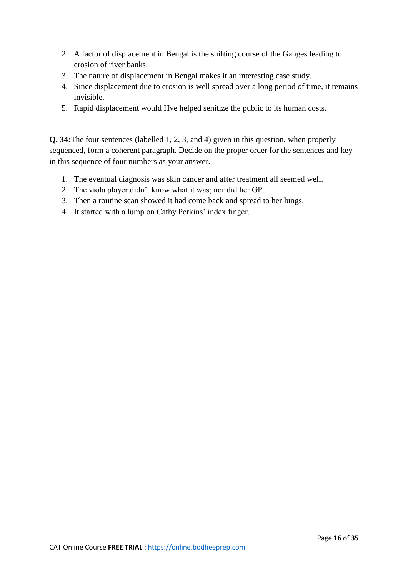- 2. A factor of displacement in Bengal is the shifting course of the Ganges leading to erosion of river banks.
- 3. The nature of displacement in Bengal makes it an interesting case study.
- 4. Since displacement due to erosion is well spread over a long period of time, it remains invisible.
- 5. Rapid displacement would Hve helped senitize the public to its human costs.

**Q. 34:**The four sentences (labelled 1, 2, 3, and 4) given in this question, when properly sequenced, form a coherent paragraph. Decide on the proper order for the sentences and key in this sequence of four numbers as your answer.

- 1. The eventual diagnosis was skin cancer and after treatment all seemed well.
- 2. The viola player didn't know what it was; nor did her GP.
- 3. Then a routine scan showed it had come back and spread to her lungs.
- 4. It started with a lump on Cathy Perkins' index finger.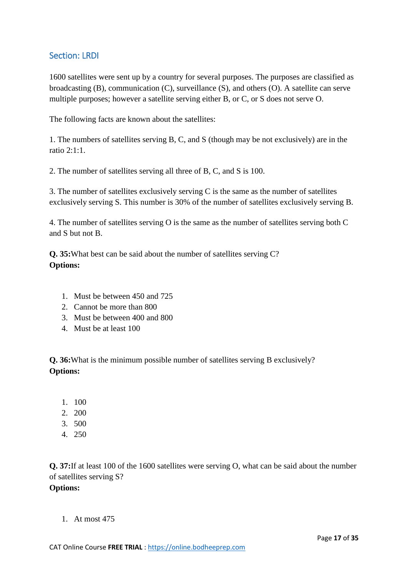# Section: LRDI

1600 satellites were sent up by a country for several purposes. The purposes are classified as broadcasting (B), communication (C), surveillance (S), and others (O). A satellite can serve multiple purposes; however a satellite serving either B, or C, or S does not serve O.

The following facts are known about the satellites:

1. The numbers of satellites serving B, C, and S (though may be not exclusively) are in the ratio 2:1:1.

2. The number of satellites serving all three of B, C, and S is 100.

3. The number of satellites exclusively serving C is the same as the number of satellites exclusively serving S. This number is 30% of the number of satellites exclusively serving B.

4. The number of satellites serving O is the same as the number of satellites serving both C and S but not B.

**Q. 35:**What best can be said about the number of satellites serving C? **Options:**

- 1. Must be between 450 and 725
- 2. Cannot be more than 800
- 3. Must be between 400 and 800
- 4. Must be at least 100

**Q. 36:**What is the minimum possible number of satellites serving B exclusively? **Options:**

- 1. 100
- 2. 200
- 3. 500
- 4. 250

**Q. 37:**If at least 100 of the 1600 satellites were serving O, what can be said about the number of satellites serving S? **Options:**

1. At most 475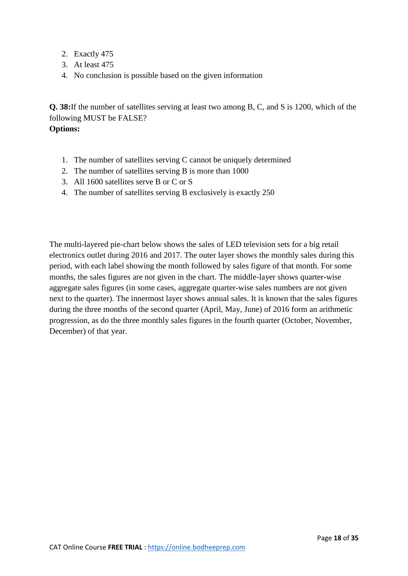- 2. Exactly 475
- 3. At least 475
- 4. No conclusion is possible based on the given information

**Q. 38:**If the number of satellites serving at least two among B, C, and S is 1200, which of the following MUST be FALSE?

**Options:**

- 1. The number of satellites serving C cannot be uniquely determined
- 2. The number of satellites serving B is more than 1000
- 3. All 1600 satellites serve B or C or S
- 4. The number of satellites serving B exclusively is exactly 250

The multi-layered pie-chart below shows the sales of LED television sets for a big retail electronics outlet during 2016 and 2017. The outer layer shows the monthly sales during this period, with each label showing the month followed by sales figure of that month. For some months, the sales figures are not given in the chart. The middle-layer shows quarter-wise aggregate sales figures (in some cases, aggregate quarter-wise sales numbers are not given next to the quarter). The innermost layer shows annual sales. It is known that the sales figures during the three months of the second quarter (April, May, June) of 2016 form an arithmetic progression, as do the three monthly sales figures in the fourth quarter (October, November, December) of that year.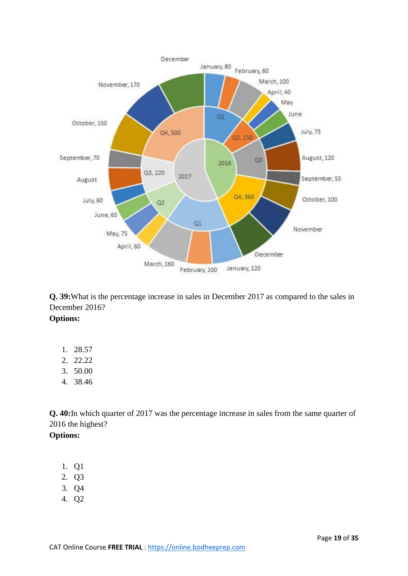

**Q. 39:**What is the percentage increase in sales in December 2017 as compared to the sales in December 2016?

**Options:**

- 1. 28.57
- 2. 22.22
- 3. 50.00
- 4. 38.46

**Q. 40:**In which quarter of 2017 was the percentage increase in sales from the same quarter of 2016 the highest?

- 1. Q1
- 2. Q3
- 3. Q4
- 4. Q2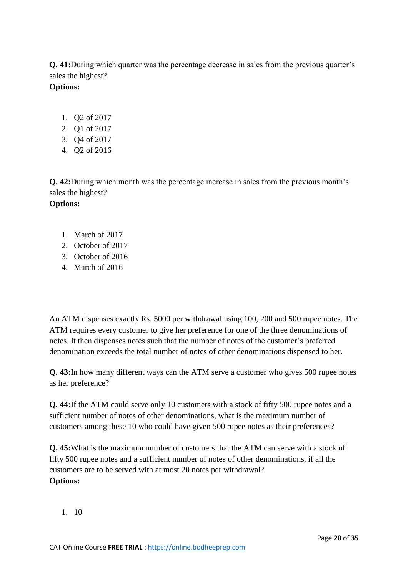**Q. 41:**During which quarter was the percentage decrease in sales from the previous quarter's sales the highest?

# **Options:**

- 1. Q2 of 2017
- 2. Q1 of 2017
- 3. Q4 of 2017
- 4. Q2 of 2016

**Q. 42:**During which month was the percentage increase in sales from the previous month's sales the highest? **Options:**

- 1. March of 2017
- 2. October of 2017
- 3. October of 2016
- 4. March of 2016

An ATM dispenses exactly Rs. 5000 per withdrawal using 100, 200 and 500 rupee notes. The ATM requires every customer to give her preference for one of the three denominations of notes. It then dispenses notes such that the number of notes of the customer's preferred denomination exceeds the total number of notes of other denominations dispensed to her.

**Q. 43:**In how many different ways can the ATM serve a customer who gives 500 rupee notes as her preference?

**Q. 44:**If the ATM could serve only 10 customers with a stock of fifty 500 rupee notes and a sufficient number of notes of other denominations, what is the maximum number of customers among these 10 who could have given 500 rupee notes as their preferences?

**Q. 45:**What is the maximum number of customers that the ATM can serve with a stock of fifty 500 rupee notes and a sufficient number of notes of other denominations, if all the customers are to be served with at most 20 notes per withdrawal? **Options:**

1. 10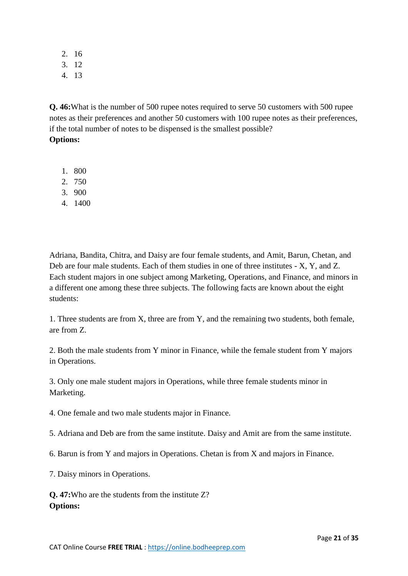2. 16

- 3. 12
- 4. 13

**Q. 46:**What is the number of 500 rupee notes required to serve 50 customers with 500 rupee notes as their preferences and another 50 customers with 100 rupee notes as their preferences, if the total number of notes to be dispensed is the smallest possible?

## **Options:**

- 1. 800
- 2. 750
- 3. 900
- 4. 1400

Adriana, Bandita, Chitra, and Daisy are four female students, and Amit, Barun, Chetan, and Deb are four male students. Each of them studies in one of three institutes - X, Y, and Z. Each student majors in one subject among Marketing, Operations, and Finance, and minors in a different one among these three subjects. The following facts are known about the eight students:

1. Three students are from X, three are from Y, and the remaining two students, both female, are from Z.

2. Both the male students from Y minor in Finance, while the female student from Y majors in Operations.

3. Only one male student majors in Operations, while three female students minor in Marketing.

4. One female and two male students major in Finance.

5. Adriana and Deb are from the same institute. Daisy and Amit are from the same institute.

6. Barun is from Y and majors in Operations. Chetan is from X and majors in Finance.

7. Daisy minors in Operations.

**Q. 47:**Who are the students from the institute Z? **Options:**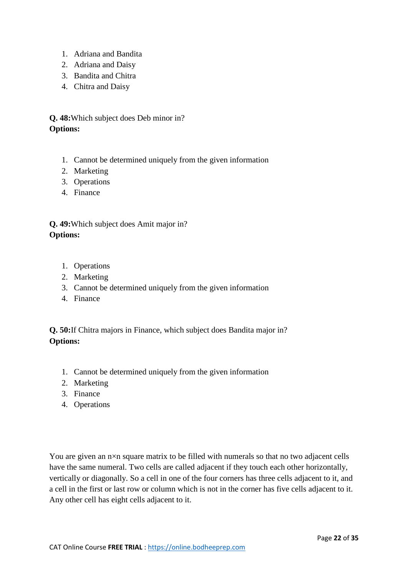- 1. Adriana and Bandita
- 2. Adriana and Daisy
- 3. Bandita and Chitra
- 4. Chitra and Daisy

**Q. 48:**Which subject does Deb minor in? **Options:**

- 1. Cannot be determined uniquely from the given information
- 2. Marketing
- 3. Operations
- 4. Finance

# **Q. 49:**Which subject does Amit major in? **Options:**

- 1. Operations
- 2. Marketing
- 3. Cannot be determined uniquely from the given information
- 4. Finance

**Q. 50:**If Chitra majors in Finance, which subject does Bandita major in? **Options:**

- 1. Cannot be determined uniquely from the given information
- 2. Marketing
- 3. Finance
- 4. Operations

You are given an  $n \times n$  square matrix to be filled with numerals so that no two adjacent cells have the same numeral. Two cells are called adjacent if they touch each other horizontally, vertically or diagonally. So a cell in one of the four corners has three cells adjacent to it, and a cell in the first or last row or column which is not in the corner has five cells adjacent to it. Any other cell has eight cells adjacent to it.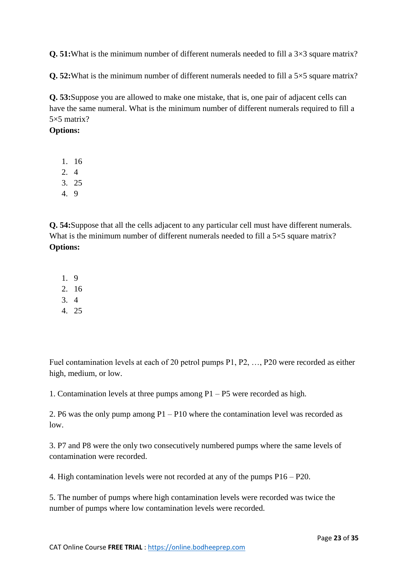**Q. 51:**What is the minimum number of different numerals needed to fill a  $3\times3$  square matrix?

**Q. 52:**What is the minimum number of different numerals needed to fill a 5×5 square matrix?

**Q. 53:**Suppose you are allowed to make one mistake, that is, one pair of adjacent cells can have the same numeral. What is the minimum number of different numerals required to fill a 5×5 matrix?

#### **Options:**

- 1. 16
- 2. 4
- 3. 25
- 4. 9

**Q. 54:**Suppose that all the cells adjacent to any particular cell must have different numerals. What is the minimum number of different numerals needed to fill a 5×5 square matrix? **Options:**

- 1. 9
- 2. 16
- 3. 4
- 4. 25

Fuel contamination levels at each of 20 petrol pumps P1, P2, …, P20 were recorded as either high, medium, or low.

1. Contamination levels at three pumps among P1 – P5 were recorded as high.

2. P6 was the only pump among P1 – P10 where the contamination level was recorded as low.

3. P7 and P8 were the only two consecutively numbered pumps where the same levels of contamination were recorded.

4. High contamination levels were not recorded at any of the pumps P16 – P20.

5. The number of pumps where high contamination levels were recorded was twice the number of pumps where low contamination levels were recorded.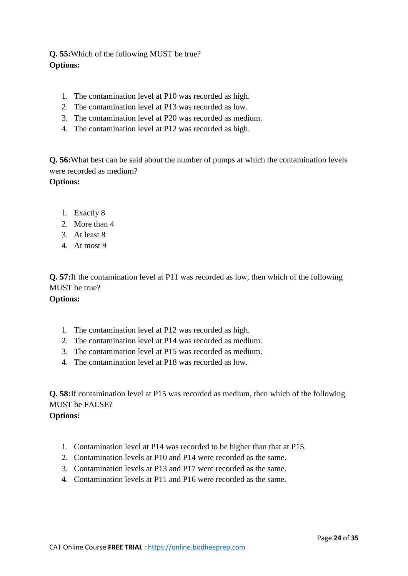**Q. 55:**Which of the following MUST be true? **Options:**

- 1. The contamination level at P10 was recorded as high.
- 2. The contamination level at P13 was recorded as low.
- 3. The contamination level at P20 was recorded as medium.
- 4. The contamination level at P12 was recorded as high.

**Q. 56:**What best can be said about the number of pumps at which the contamination levels were recorded as medium?

**Options:**

- 1. Exactly 8
- 2. More than 4
- 3. At least 8
- 4. At most 9

**Q. 57:**If the contamination level at P11 was recorded as low, then which of the following MUST be true?

#### **Options:**

- 1. The contamination level at P12 was recorded as high.
- 2. The contamination level at P14 was recorded as medium.
- 3. The contamination level at P15 was recorded as medium.
- 4. The contamination level at P18 was recorded as low.

**Q. 58:**If contamination level at P15 was recorded as medium, then which of the following MUST be FALSE?

- 1. Contamination level at P14 was recorded to be higher than that at P15.
- 2. Contamination levels at P10 and P14 were recorded as the same.
- 3. Contamination levels at P13 and P17 were recorded as the same.
- 4. Contamination levels at P11 and P16 were recorded as the same.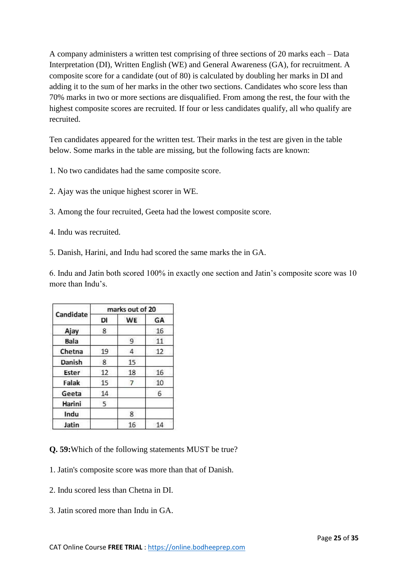A company administers a written test comprising of three sections of 20 marks each – Data Interpretation (DI), Written English (WE) and General Awareness (GA), for recruitment. A composite score for a candidate (out of 80) is calculated by doubling her marks in DI and adding it to the sum of her marks in the other two sections. Candidates who score less than 70% marks in two or more sections are disqualified. From among the rest, the four with the highest composite scores are recruited. If four or less candidates qualify, all who qualify are recruited.

Ten candidates appeared for the written test. Their marks in the test are given in the table below. Some marks in the table are missing, but the following facts are known:

- 1. No two candidates had the same composite score.
- 2. Ajay was the unique highest scorer in WE.
- 3. Among the four recruited, Geeta had the lowest composite score.
- 4. Indu was recruited.
- 5. Danish, Harini, and Indu had scored the same marks the in GA.

6. Indu and Jatin both scored 100% in exactly one section and Jatin's composite score was 10 more than Indu's.

| Candidate   | marks out of 20 |           |    |
|-------------|-----------------|-----------|----|
|             | DI              | <b>WE</b> | GA |
| Ajay        | 8               |           | 16 |
| <b>Bala</b> |                 | 9         | 11 |
| Chetna      | 19              | 4         | 12 |
| Danish      | 8               | 15        |    |
| Ester       | 12              | 18        | 16 |
| Falak       | 15              | 7         | 10 |
| Geeta       | 14              |           | 6  |
| Harini      | 5               |           |    |
| Indu        |                 | 8         |    |
| Jatin       |                 | 16        | 14 |

**Q. 59:**Which of the following statements MUST be true?

- 1. Jatin's composite score was more than that of Danish.
- 2. Indu scored less than Chetna in DI.
- 3. Jatin scored more than Indu in GA.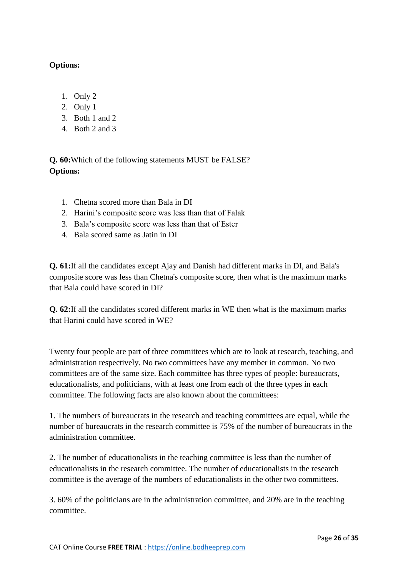## **Options:**

- 1. Only 2
- 2. Only 1
- 3. Both 1 and 2
- 4. Both 2 and 3

**Q. 60:**Which of the following statements MUST be FALSE? **Options:**

- 1. Chetna scored more than Bala in DI
- 2. Harini's composite score was less than that of Falak
- 3. Bala's composite score was less than that of Ester
- 4. Bala scored same as Jatin in DI

**Q. 61:**If all the candidates except Ajay and Danish had different marks in DI, and Bala's composite score was less than Chetna's composite score, then what is the maximum marks that Bala could have scored in DI?

**Q. 62:**If all the candidates scored different marks in WE then what is the maximum marks that Harini could have scored in WE?

Twenty four people are part of three committees which are to look at research, teaching, and administration respectively. No two committees have any member in common. No two committees are of the same size. Each committee has three types of people: bureaucrats, educationalists, and politicians, with at least one from each of the three types in each committee. The following facts are also known about the committees:

1. The numbers of bureaucrats in the research and teaching committees are equal, while the number of bureaucrats in the research committee is 75% of the number of bureaucrats in the administration committee.

2. The number of educationalists in the teaching committee is less than the number of educationalists in the research committee. The number of educationalists in the research committee is the average of the numbers of educationalists in the other two committees.

3. 60% of the politicians are in the administration committee, and 20% are in the teaching committee.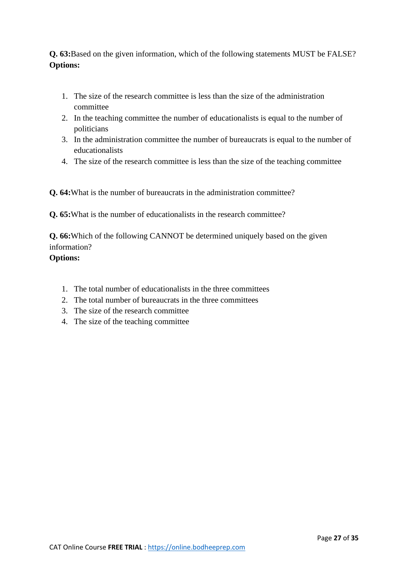**Q. 63:**Based on the given information, which of the following statements MUST be FALSE? **Options:**

- 1. The size of the research committee is less than the size of the administration committee
- 2. In the teaching committee the number of educationalists is equal to the number of politicians
- 3. In the administration committee the number of bureaucrats is equal to the number of educationalists
- 4. The size of the research committee is less than the size of the teaching committee

**Q. 64:**What is the number of bureaucrats in the administration committee?

**Q. 65:**What is the number of educationalists in the research committee?

**Q. 66:**Which of the following CANNOT be determined uniquely based on the given information?

- 1. The total number of educationalists in the three committees
- 2. The total number of bureaucrats in the three committees
- 3. The size of the research committee
- 4. The size of the teaching committee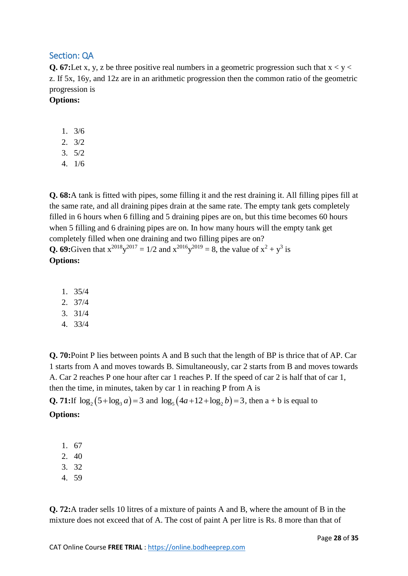# Section: QA

**Q. 67:**Let x, y, z be three positive real numbers in a geometric progression such that  $x < y <$ z. If 5x, 16y, and 12z are in an arithmetic progression then the common ratio of the geometric progression is

#### **Options:**

- 1. 3/6
- 2. 3/2
- 3. 5/2
- 4. 1/6

**Q. 68:**A tank is fitted with pipes, some filling it and the rest draining it. All filling pipes fill at the same rate, and all draining pipes drain at the same rate. The empty tank gets completely filled in 6 hours when 6 filling and 5 draining pipes are on, but this time becomes 60 hours when 5 filling and 6 draining pipes are on. In how many hours will the empty tank get completely filled when one draining and two filling pipes are on? **Q. 69:**Given that  $x^{2018}y^{2017} = 1/2$  and  $x^{2016}y^{2019} = 8$ , the value of  $x^2 + y^3$  is **Options:**

- 1. 35/4
- 2. 37/4
- 3. 31/4
- 4. 33/4

**Q. 70:**Point P lies between points A and B such that the length of BP is thrice that of AP. Car 1 starts from A and moves towards B. Simultaneously, car 2 starts from B and moves towards A. Car 2 reaches P one hour after car 1 reaches P. If the speed of car 2 is half that of car 1, then the time, in minutes, taken by car 1 in reaching P from A is

**Q. 71:**If  $\log_2(5 + \log_3 a) = 3$  and  $\log_5(4a + 12 + \log_2 b) = 3$ , then a + b is equal to **Options:**

- 1. 67
- 2. 40
- 3. 32
- 4. 59

**Q. 72:**A trader sells 10 litres of a mixture of paints A and B, where the amount of B in the mixture does not exceed that of A. The cost of paint A per litre is Rs. 8 more than that of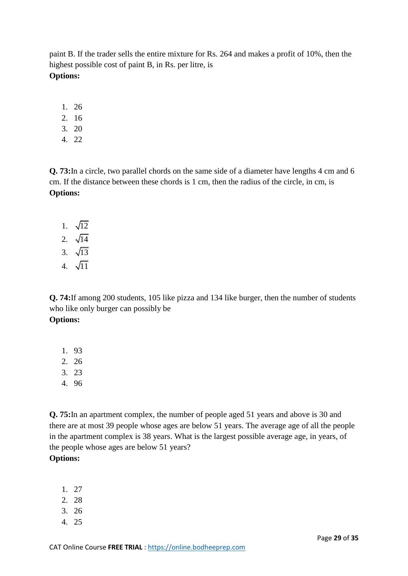paint B. If the trader sells the entire mixture for Rs. 264 and makes a profit of 10%, then the highest possible cost of paint B, in Rs. per litre, is **Options:**

- 1. 26
- 2. 16
- 3. 20
- 4. 22

**Q. 73:**In a circle, two parallel chords on the same side of a diameter have lengths 4 cm and 6 cm. If the distance between these chords is 1 cm, then the radius of the circle, in cm, is **Options:**

- 1.  $\sqrt{12}$
- 2.  $\sqrt{14}$
- 3. 13
- 4. √11

**Q. 74:**If among 200 students, 105 like pizza and 134 like burger, then the number of students who like only burger can possibly be **Options:**

- 1. 93
- 2. 26
- 3. 23
- 4. 96

**Q. 75:**In an apartment complex, the number of people aged 51 years and above is 30 and there are at most 39 people whose ages are below 51 years. The average age of all the people in the apartment complex is 38 years. What is the largest possible average age, in years, of the people whose ages are below 51 years?

- 1. 27
- 2. 28
- 3. 26
- 4. 25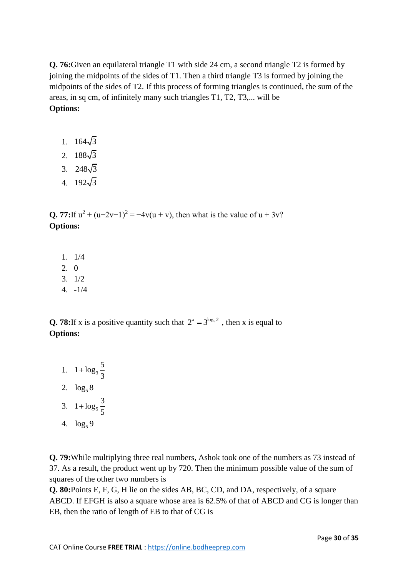**Q. 76:**Given an equilateral triangle T1 with side 24 cm, a second triangle T2 is formed by joining the midpoints of the sides of T1. Then a third triangle T3 is formed by joining the midpoints of the sides of T2. If this process of forming triangles is continued, the sum of the areas, in sq cm, of infinitely many such triangles T1, T2, T3,... will be **Options:**

- 1.  $164\sqrt{3}$
- 2.  $188\sqrt{3}$
- 3.  $248\sqrt{3}$
- 4.  $192\sqrt{3}$

**Q.** 77: If  $u^2 + (u-2v-1)^2 = -4v(u+v)$ , then what is the value of  $u + 3v$ ? **Options:**

- 1. 1/4
- 2. 0
- 3. 1/2
- 4. -1/4

**Q. 78:**If x is a positive quantity such that  $2^x = 3^{\log_5 2}$ , then x is equal to **Options:**

- 1.  $1 + log_3$  $1 + \log_3 \frac{5}{2}$ 3  $\ddot{}$ 2.  $\log_5 8$ 3.  $1 + \log_5$  $1 + \log_5 \frac{3}{5}$ 5  $\ddot{}$
- 4.  $\log_5 9$

**Q. 79:**While multiplying three real numbers, Ashok took one of the numbers as 73 instead of 37. As a result, the product went up by 720. Then the minimum possible value of the sum of squares of the other two numbers is

**Q. 80:**Points E, F, G, H lie on the sides AB, BC, CD, and DA, respectively, of a square ABCD. If EFGH is also a square whose area is 62.5% of that of ABCD and CG is longer than EB, then the ratio of length of EB to that of CG is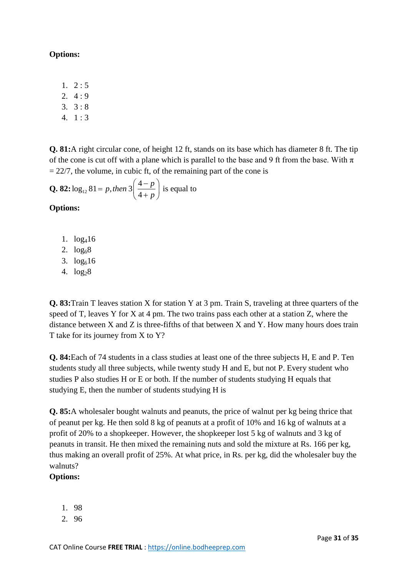#### **Options:**

- $1. \quad 2:5$
- 2.  $4:9$
- 3.  $3:8$
- $4. 1:3$

**Q. 81:**A right circular cone, of height 12 ft, stands on its base which has diameter 8 ft. The tip of the cone is cut off with a plane which is parallel to the base and 9 ft from the base. With  $\pi$  $= 22/7$ , the volume, in cubic ft, of the remaining part of the cone is

Q. 82: 
$$
\log_{12} 81 = p
$$
, then  $3\left(\frac{4-p}{4+p}\right)$  is equal to

**Options:**

- 1. log416
- 2.  $log_6 8$
- 3.  $log_616$
- 4.  $log_2 8$

**Q. 83:**Train T leaves station X for station Y at 3 pm. Train S, traveling at three quarters of the speed of T, leaves Y for X at 4 pm. The two trains pass each other at a station Z, where the distance between X and Z is three-fifths of that between X and Y. How many hours does train T take for its journey from X to Y?

**Q. 84:**Each of 74 students in a class studies at least one of the three subjects H, E and P. Ten students study all three subjects, while twenty study H and E, but not P. Every student who studies P also studies H or E or both. If the number of students studying H equals that studying E, then the number of students studying H is

**Q. 85:**A wholesaler bought walnuts and peanuts, the price of walnut per kg being thrice that of peanut per kg. He then sold 8 kg of peanuts at a profit of 10% and 16 kg of walnuts at a profit of 20% to a shopkeeper. However, the shopkeeper lost 5 kg of walnuts and 3 kg of peanuts in transit. He then mixed the remaining nuts and sold the mixture at Rs. 166 per kg, thus making an overall profit of 25%. At what price, in Rs. per kg, did the wholesaler buy the walnuts?

- 1. 98
- 2. 96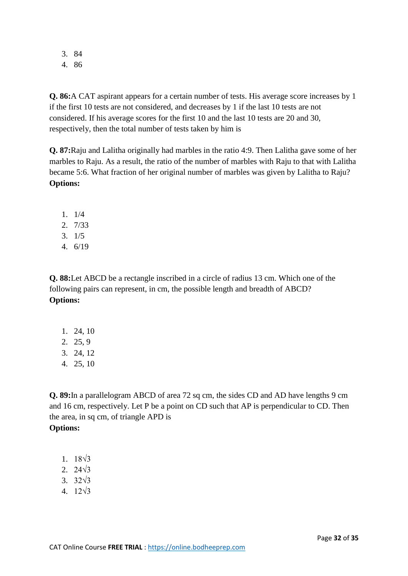3. 84 4. 86

**Q. 86:**A CAT aspirant appears for a certain number of tests. His average score increases by 1 if the first 10 tests are not considered, and decreases by 1 if the last 10 tests are not considered. If his average scores for the first 10 and the last 10 tests are 20 and 30, respectively, then the total number of tests taken by him is

**Q. 87:**Raju and Lalitha originally had marbles in the ratio 4:9. Then Lalitha gave some of her marbles to Raju. As a result, the ratio of the number of marbles with Raju to that with Lalitha became 5:6. What fraction of her original number of marbles was given by Lalitha to Raju? **Options:**

- 1. 1/4
- 2. 7/33
- 3. 1/5
- 4. 6/19

**Q. 88:**Let ABCD be a rectangle inscribed in a circle of radius 13 cm. Which one of the following pairs can represent, in cm, the possible length and breadth of ABCD? **Options:**

- 1. 24, 10
- 2. 25, 9
- 3. 24, 12
- 4. 25, 10

**Q. 89:**In a parallelogram ABCD of area 72 sq cm, the sides CD and AD have lengths 9 cm and 16 cm, respectively. Let P be a point on CD such that AP is perpendicular to CD. Then the area, in sq cm, of triangle APD is **Options:**

- 1. 18√3
- 2. 24√3
- 3. 32√3
- $4. 12\sqrt{3}$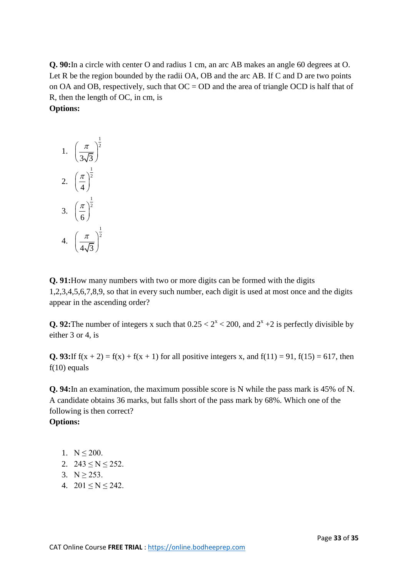**Q. 90:**In a circle with center O and radius 1 cm, an arc AB makes an angle 60 degrees at O. Let R be the region bounded by the radii OA, OB and the arc AB. If C and D are two points on OA and OB, respectively, such that  $OC = OD$  and the area of triangle OCD is half that of R, then the length of OC, in cm, is **Options:**

1. 
$$
\left(\frac{\pi}{3\sqrt{3}}\right)^{\frac{1}{2}}
$$
  
2. 
$$
\left(\frac{\pi}{4}\right)^{\frac{1}{2}}
$$
  
3. 
$$
\left(\frac{\pi}{6}\right)^{\frac{1}{2}}
$$
  
4. 
$$
\left(\frac{\pi}{4\sqrt{3}}\right)^{\frac{1}{2}}
$$

**Q. 91:**How many numbers with two or more digits can be formed with the digits 1,2,3,4,5,6,7,8,9, so that in every such number, each digit is used at most once and the digits appear in the ascending order?

**Q. 92:** The number of integers x such that  $0.25 < 2^x < 200$ , and  $2^x + 2$  is perfectly divisible by either 3 or 4, is

**Q. 93:**If  $f(x + 2) = f(x) + f(x + 1)$  for all positive integers x, and  $f(11) = 91$ ,  $f(15) = 617$ , then  $f(10)$  equals

**Q. 94:**In an examination, the maximum possible score is N while the pass mark is 45% of N. A candidate obtains 36 marks, but falls short of the pass mark by 68%. Which one of the following is then correct?

- 1.  $N \le 200$ .
- 2.  $243 < N < 252$ .
- 3.  $N \ge 253$ .
- 4.  $201 \le N \le 242$ .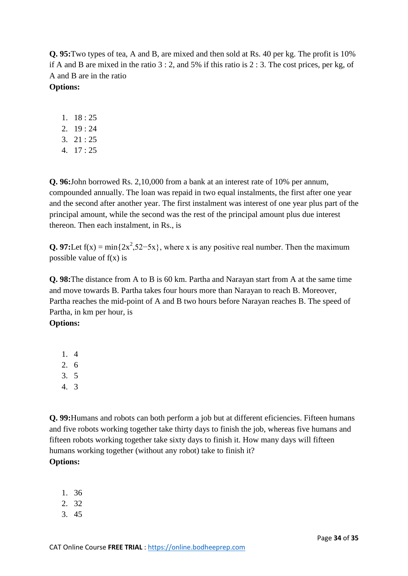**Q. 95:**Two types of tea, A and B, are mixed and then sold at Rs. 40 per kg. The profit is 10% if A and B are mixed in the ratio 3 : 2, and 5% if this ratio is 2 : 3. The cost prices, per kg, of A and B are in the ratio

# **Options:**

- 1. 18 : 25
- 2. 19 : 24
- 3. 21 : 25
- 4. 17 : 25

**Q. 96:**John borrowed Rs. 2,10,000 from a bank at an interest rate of 10% per annum, compounded annually. The loan was repaid in two equal instalments, the first after one year and the second after another year. The first instalment was interest of one year plus part of the principal amount, while the second was the rest of the principal amount plus due interest thereon. Then each instalment, in Rs., is

**Q. 97:**Let  $f(x) = min\{2x^2, 52-5x\}$ , where x is any positive real number. Then the maximum possible value of  $f(x)$  is

**Q. 98:**The distance from A to B is 60 km. Partha and Narayan start from A at the same time and move towards B. Partha takes four hours more than Narayan to reach B. Moreover, Partha reaches the mid-point of A and B two hours before Narayan reaches B. The speed of Partha, in km per hour, is

# **Options:**

- 1. 4
- 2. 6
- 3. 5
- 4. 3

**Q. 99:**Humans and robots can both perform a job but at different eficiencies. Fifteen humans and five robots working together take thirty days to finish the job, whereas five humans and fifteen robots working together take sixty days to finish it. How many days will fifteen humans working together (without any robot) take to finish it? **Options:**

- 1. 36
- 2. 32
- 3. 45